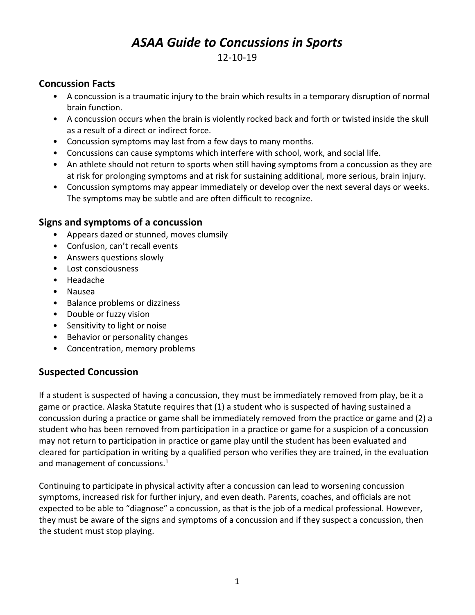# *ASAA Guide to Concussions in Sports*

## 12-10-19

#### **Concussion Facts**

- A concussion is a traumatic injury to the brain which results in a temporary disruption of normal brain function.
- A concussion occurs when the brain is violently rocked back and forth or twisted inside the skull as a result of a direct or indirect force.
- Concussion symptoms may last from a few days to many months.
- Concussions can cause symptoms which interfere with school, work, and social life.
- An athlete should not return to sports when still having symptoms from a concussion as they are at risk for prolonging symptoms and at risk for sustaining additional, more serious, brain injury.
- Concussion symptoms may appear immediately or develop over the next several days or weeks. The symptoms may be subtle and are often difficult to recognize.

#### **Signs and symptoms of a concussion**

- Appears dazed or stunned, moves clumsily
- Confusion, can't recall events
- Answers questions slowly
- Lost consciousness
- Headache
- Nausea
- Balance problems or dizziness
- Double or fuzzy vision
- Sensitivity to light or noise
- Behavior or personality changes
- Concentration, memory problems

#### **Suspected Concussion**

If a student is suspected of having a concussion, they must be immediately removed from play, be it a game or practice. Alaska Statute requires that (1) a student who is suspected of having sustained a concussion during a practice or game shall be immediately removed from the practice or game and (2) a student who has been removed from participation in a practice or game for a suspicion of a concussion may not return to participation in practice or game play until the student has been evaluated and cleared for participation in writing by a qualified person who verifies they are trained, in the evaluation and management of concussions.<sup>1</sup>

Continuing to participate in physical activity after a concussion can lead to worsening concussion symptoms, increased risk for further injury, and even death. Parents, coaches, and officials are not expected to be able to "diagnose" a concussion, as that is the job of a medical professional. However, they must be aware of the signs and symptoms of a concussion and if they suspect a concussion, then the student must stop playing.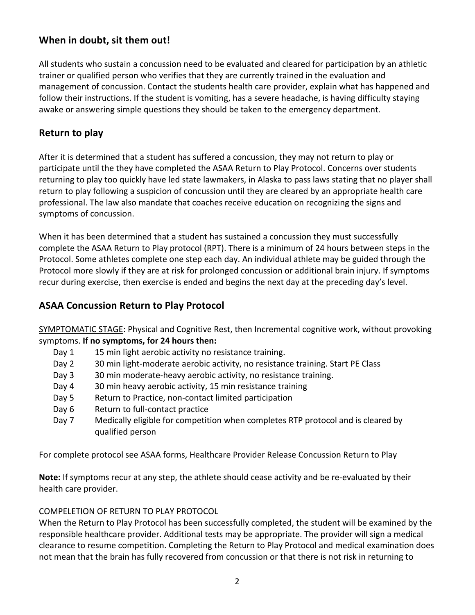## **When in doubt, sit them out!**

All students who sustain a concussion need to be evaluated and cleared for participation by an athletic trainer or qualified person who verifies that they are currently trained in the evaluation and management of concussion. Contact the students health care provider, explain what has happened and follow their instructions. If the student is vomiting, has a severe headache, is having difficulty staying awake or answering simple questions they should be taken to the emergency department.

## **Return to play**

After it is determined that a student has suffered a concussion, they may not return to play or participate until the they have completed the ASAA Return to Play Protocol. Concerns over students returning to play too quickly have led state lawmakers, in Alaska to pass laws stating that no player shall return to play following a suspicion of concussion until they are cleared by an appropriate health care professional. The law also mandate that coaches receive education on recognizing the signs and symptoms of concussion.

When it has been determined that a student has sustained a concussion they must successfully complete the ASAA Return to Play protocol (RPT). There is a minimum of 24 hours between steps in the Protocol. Some athletes complete one step each day. An individual athlete may be guided through the Protocol more slowly if they are at risk for prolonged concussion or additional brain injury. If symptoms recur during exercise, then exercise is ended and begins the next day at the preceding day's level.

## **ASAA Concussion Return to Play Protocol**

SYMPTOMATIC STAGE: Physical and Cognitive Rest, then Incremental cognitive work, without provoking symptoms. **If no symptoms, for 24 hours then:** 

- Day 1 15 min light aerobic activity no resistance training.
- Day 2 30 min light-moderate aerobic activity, no resistance training. Start PE Class
- Day 3 30 min moderate-heavy aerobic activity, no resistance training.
- Day 4 30 min heavy aerobic activity, 15 min resistance training
- Day 5 Return to Practice, non-contact limited participation
- Day 6 Return to full-contact practice
- Day 7 Medically eligible for competition when completes RTP protocol and is cleared by qualified person

For complete protocol see ASAA forms, Healthcare Provider Release Concussion Return to Play

**Note:** If symptoms recur at any step, the athlete should cease activity and be re-evaluated by their health care provider.

#### COMPELETION OF RETURN TO PLAY PROTOCOL

When the Return to Play Protocol has been successfully completed, the student will be examined by the responsible healthcare provider. Additional tests may be appropriate. The provider will sign a medical clearance to resume competition. Completing the Return to Play Protocol and medical examination does not mean that the brain has fully recovered from concussion or that there is not risk in returning to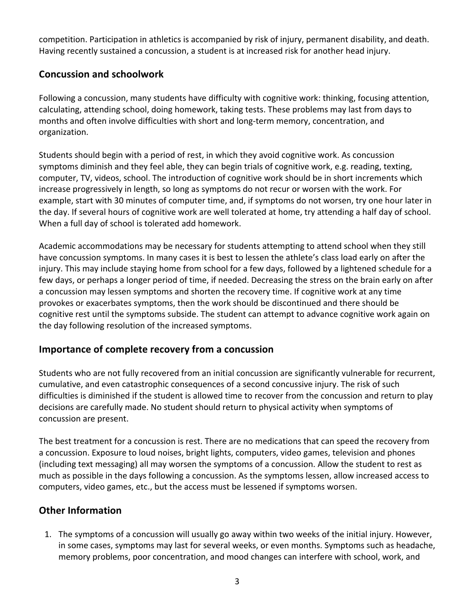competition. Participation in athletics is accompanied by risk of injury, permanent disability, and death. Having recently sustained a concussion, a student is at increased risk for another head injury.

## **Concussion and schoolwork**

Following a concussion, many students have difficulty with cognitive work: thinking, focusing attention, calculating, attending school, doing homework, taking tests. These problems may last from days to months and often involve difficulties with short and long-term memory, concentration, and organization.

Students should begin with a period of rest, in which they avoid cognitive work. As concussion symptoms diminish and they feel able, they can begin trials of cognitive work, e.g. reading, texting, computer, TV, videos, school. The introduction of cognitive work should be in short increments which increase progressively in length, so long as symptoms do not recur or worsen with the work. For example, start with 30 minutes of computer time, and, if symptoms do not worsen, try one hour later in the day. If several hours of cognitive work are well tolerated at home, try attending a half day of school. When a full day of school is tolerated add homework.

Academic accommodations may be necessary for students attempting to attend school when they still have concussion symptoms. In many cases it is best to lessen the athlete's class load early on after the injury. This may include staying home from school for a few days, followed by a lightened schedule for a few days, or perhaps a longer period of time, if needed. Decreasing the stress on the brain early on after a concussion may lessen symptoms and shorten the recovery time. If cognitive work at any time provokes or exacerbates symptoms, then the work should be discontinued and there should be cognitive rest until the symptoms subside. The student can attempt to advance cognitive work again on the day following resolution of the increased symptoms.

#### **Importance of complete recovery from a concussion**

Students who are not fully recovered from an initial concussion are significantly vulnerable for recurrent, cumulative, and even catastrophic consequences of a second concussive injury. The risk of such difficulties is diminished if the student is allowed time to recover from the concussion and return to play decisions are carefully made. No student should return to physical activity when symptoms of concussion are present.

The best treatment for a concussion is rest. There are no medications that can speed the recovery from a concussion. Exposure to loud noises, bright lights, computers, video games, television and phones (including text messaging) all may worsen the symptoms of a concussion. Allow the student to rest as much as possible in the days following a concussion. As the symptoms lessen, allow increased access to computers, video games, etc., but the access must be lessened if symptoms worsen.

## **Other Information**

1. The symptoms of a concussion will usually go away within two weeks of the initial injury. However, in some cases, symptoms may last for several weeks, or even months. Symptoms such as headache, memory problems, poor concentration, and mood changes can interfere with school, work, and